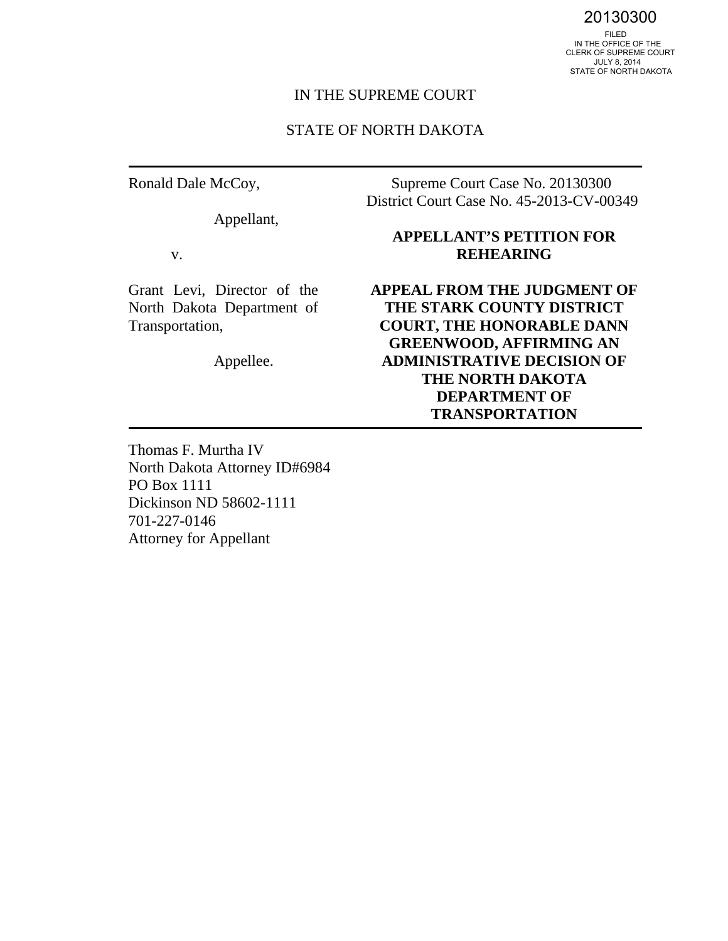20130300

 IN THE OFFICE OF THE CLERK OF SUPREME COURT JULY 8, 2014 STATE OF NORTH DAKOTA

# IN THE SUPREME COURT

#### STATE OF NORTH DAKOTA

Ronald Dale McCoy,

Appellant,

v.

Grant Levi, Director of the North Dakota Department of Transportation,

Appellee.

Supreme Court Case No. 20130300 District Court Case No. 45-2013-CV-00349

# **APPELLANT'S PETITION FOR REHEARING**

**APPEAL FROM THE JUDGMENT OF THE STARK COUNTY DISTRICT COURT, THE HONORABLE DANN GREENWOOD, AFFIRMING AN ADMINISTRATIVE DECISION OF THE NORTH DAKOTA DEPARTMENT OF TRANSPORTATION** 

Thomas F. Murtha IV North Dakota Attorney ID#6984 PO Box 1111 Dickinson ND 58602-1111 701-227-0146 Attorney for Appellant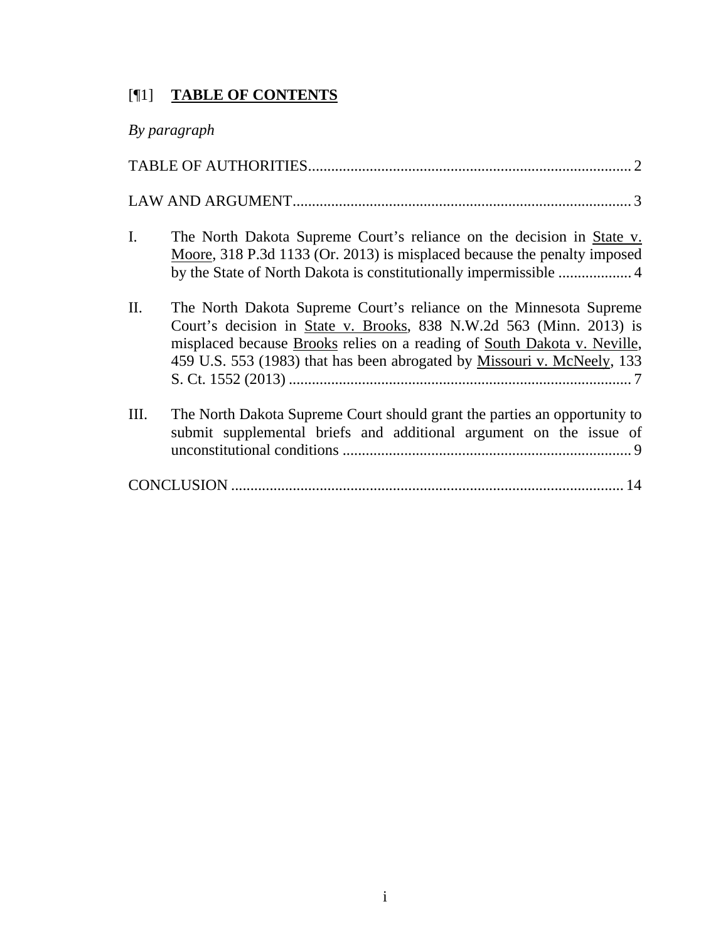# [¶1] **TABLE OF CONTENTS**

| By paragraph                                                                                                                                                                                                                                                                                            |  |
|---------------------------------------------------------------------------------------------------------------------------------------------------------------------------------------------------------------------------------------------------------------------------------------------------------|--|
|                                                                                                                                                                                                                                                                                                         |  |
|                                                                                                                                                                                                                                                                                                         |  |
| $\mathbf{I}$ .<br>The North Dakota Supreme Court's reliance on the decision in State v.<br>Moore, 318 P.3d 1133 (Or. 2013) is misplaced because the penalty imposed                                                                                                                                     |  |
| II.<br>The North Dakota Supreme Court's reliance on the Minnesota Supreme<br>Court's decision in State v. Brooks, 838 N.W.2d 563 (Minn. 2013) is<br>misplaced because Brooks relies on a reading of South Dakota v. Neville,<br>459 U.S. 553 (1983) that has been abrogated by Missouri v. McNeely, 133 |  |
| Ш.<br>The North Dakota Supreme Court should grant the parties an opportunity to<br>submit supplemental briefs and additional argument on the issue of                                                                                                                                                   |  |
|                                                                                                                                                                                                                                                                                                         |  |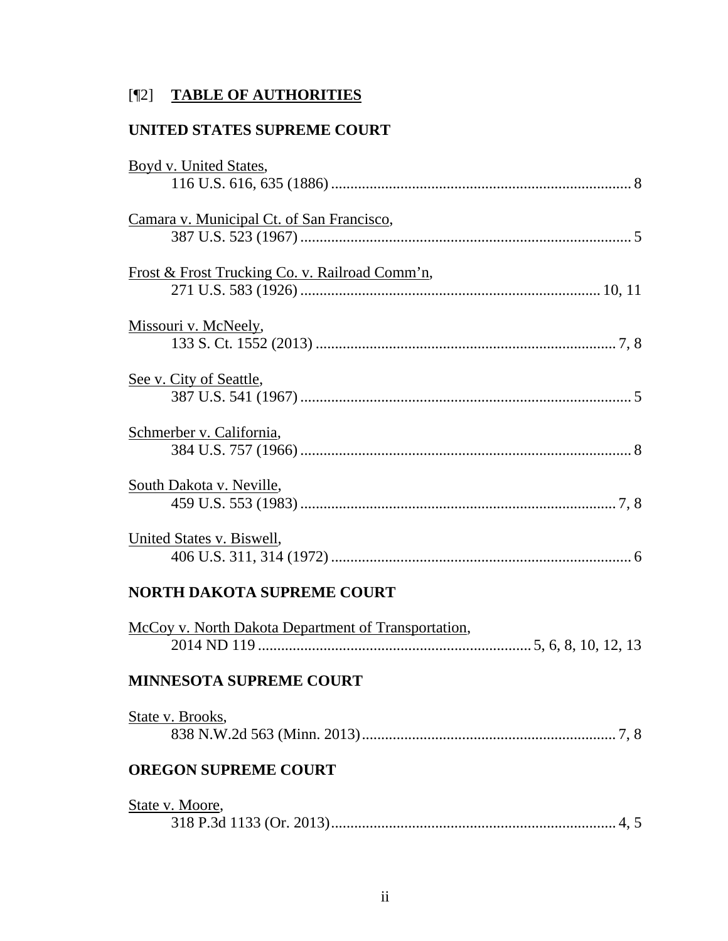# [¶2] **TABLE OF AUTHORITIES**

# **UNITED STATES SUPREME COURT**

| Boyd v. United States,                              |
|-----------------------------------------------------|
|                                                     |
| Camara v. Municipal Ct. of San Francisco,           |
|                                                     |
| Frost & Frost Trucking Co. v. Railroad Comm'n,      |
|                                                     |
| Missouri v. McNeely,                                |
|                                                     |
| See v. City of Seattle,                             |
|                                                     |
| Schmerber v. California,                            |
|                                                     |
| South Dakota v. Neville,                            |
|                                                     |
| United States v. Biswell,                           |
|                                                     |
| <b>NORTH DAKOTA SUPREME COURT</b>                   |
| McCoy v. North Dakota Department of Transportation, |
|                                                     |
| MINNESOTA SUPREME COURT                             |
| State v. Brooks,                                    |
|                                                     |
| <b>OREGON SUPREME COURT</b>                         |
| State v. Moore,                                     |
|                                                     |
|                                                     |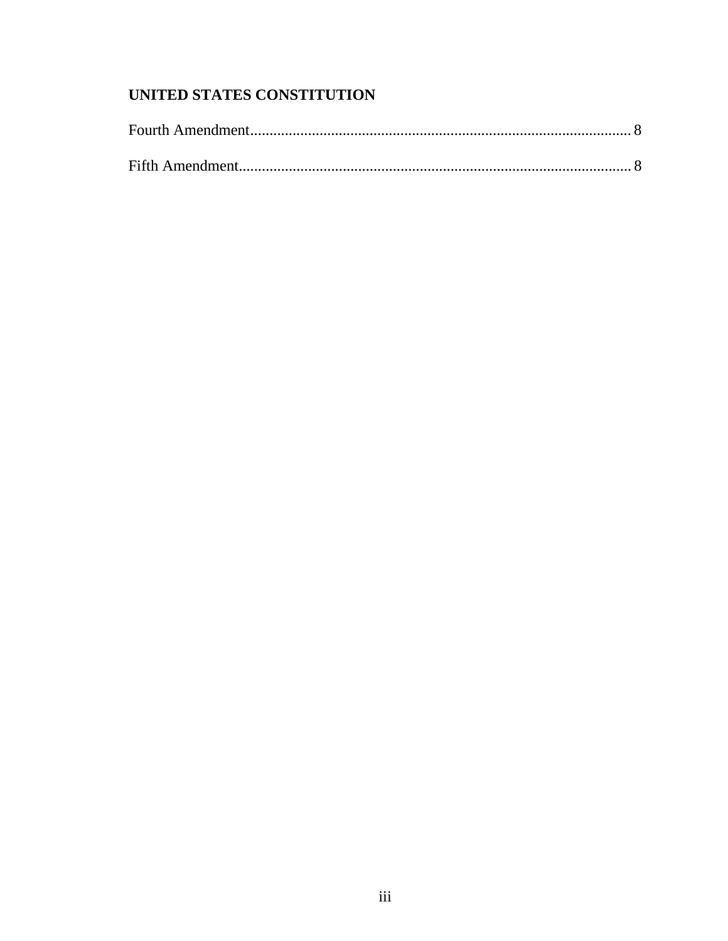# UNITED STATES CONSTITUTION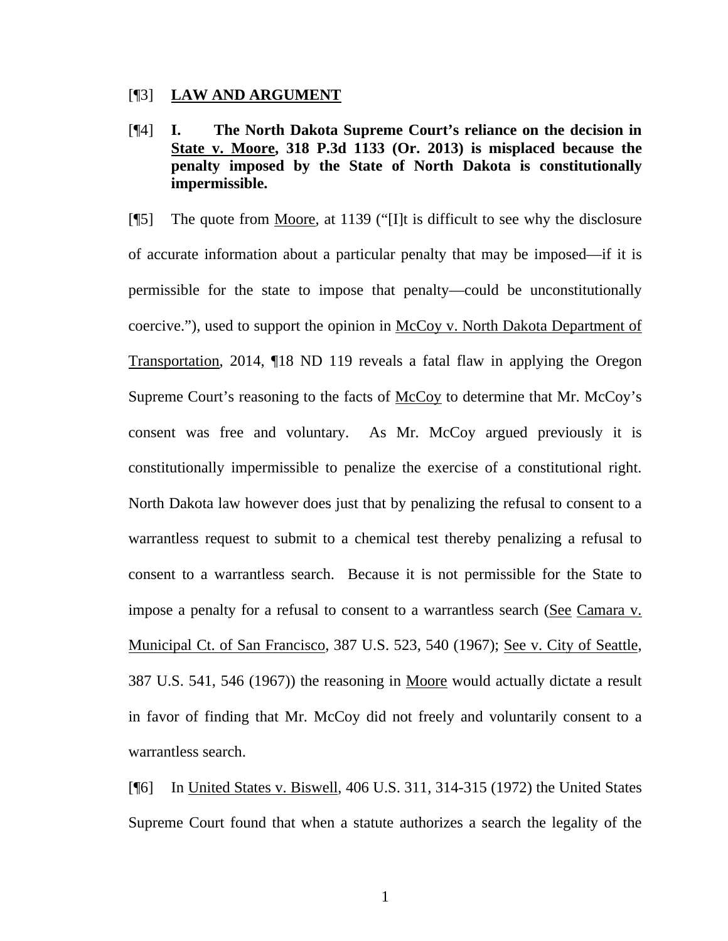#### [¶3] **LAW AND ARGUMENT**

[¶4] **I. The North Dakota Supreme Court's reliance on the decision in State v. Moore, 318 P.3d 1133 (Or. 2013) is misplaced because the penalty imposed by the State of North Dakota is constitutionally impermissible.** 

[¶5] The quote from Moore, at 1139 ("[I]t is difficult to see why the disclosure of accurate information about a particular penalty that may be imposed—if it is permissible for the state to impose that penalty—could be unconstitutionally coercive."), used to support the opinion in McCoy v. North Dakota Department of Transportation, 2014, ¶18 ND 119 reveals a fatal flaw in applying the Oregon Supreme Court's reasoning to the facts of McCoy to determine that Mr. McCoy's consent was free and voluntary. As Mr. McCoy argued previously it is constitutionally impermissible to penalize the exercise of a constitutional right. North Dakota law however does just that by penalizing the refusal to consent to a warrantless request to submit to a chemical test thereby penalizing a refusal to consent to a warrantless search. Because it is not permissible for the State to impose a penalty for a refusal to consent to a warrantless search (See Camara v. Municipal Ct. of San Francisco, 387 U.S. 523, 540 (1967); See v. City of Seattle, 387 U.S. 541, 546 (1967)) the reasoning in Moore would actually dictate a result in favor of finding that Mr. McCoy did not freely and voluntarily consent to a warrantless search.

[¶6] In United States v. Biswell, 406 U.S. 311, 314-315 (1972) the United States Supreme Court found that when a statute authorizes a search the legality of the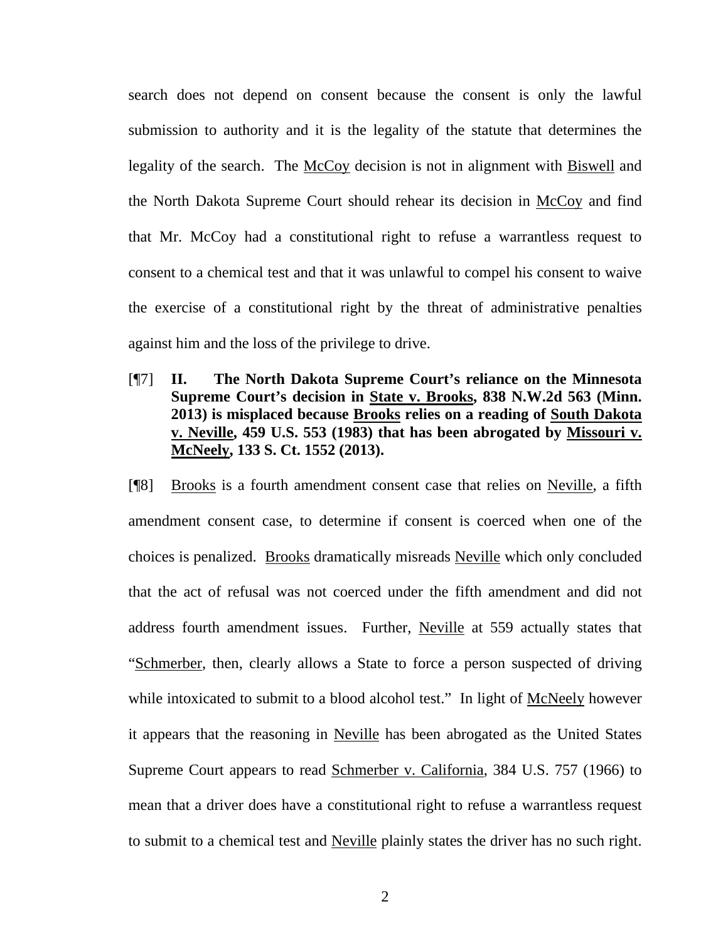search does not depend on consent because the consent is only the lawful submission to authority and it is the legality of the statute that determines the legality of the search. The McCoy decision is not in alignment with Biswell and the North Dakota Supreme Court should rehear its decision in McCoy and find that Mr. McCoy had a constitutional right to refuse a warrantless request to consent to a chemical test and that it was unlawful to compel his consent to waive the exercise of a constitutional right by the threat of administrative penalties against him and the loss of the privilege to drive.

[¶7] **II. The North Dakota Supreme Court's reliance on the Minnesota Supreme Court's decision in State v. Brooks, 838 N.W.2d 563 (Minn. 2013) is misplaced because Brooks relies on a reading of South Dakota v. Neville, 459 U.S. 553 (1983) that has been abrogated by Missouri v. McNeely, 133 S. Ct. 1552 (2013).** 

[¶8] Brooks is a fourth amendment consent case that relies on Neville, a fifth amendment consent case, to determine if consent is coerced when one of the choices is penalized. Brooks dramatically misreads Neville which only concluded that the act of refusal was not coerced under the fifth amendment and did not address fourth amendment issues. Further, Neville at 559 actually states that "Schmerber, then, clearly allows a State to force a person suspected of driving while intoxicated to submit to a blood alcohol test." In light of McNeely however it appears that the reasoning in Neville has been abrogated as the United States Supreme Court appears to read Schmerber v. California, 384 U.S. 757 (1966) to mean that a driver does have a constitutional right to refuse a warrantless request to submit to a chemical test and Neville plainly states the driver has no such right.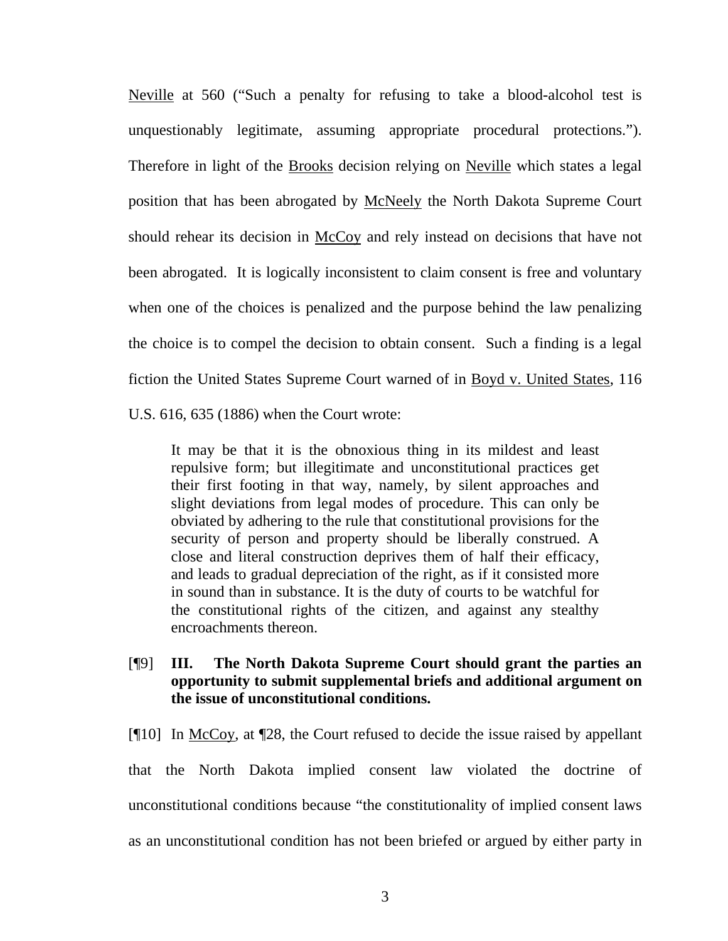Neville at 560 ("Such a penalty for refusing to take a blood-alcohol test is unquestionably legitimate, assuming appropriate procedural protections."). Therefore in light of the **Brooks** decision relying on Neville which states a legal position that has been abrogated by McNeely the North Dakota Supreme Court should rehear its decision in McCoy and rely instead on decisions that have not been abrogated. It is logically inconsistent to claim consent is free and voluntary when one of the choices is penalized and the purpose behind the law penalizing the choice is to compel the decision to obtain consent. Such a finding is a legal fiction the United States Supreme Court warned of in Boyd v. United States, 116 U.S. 616, 635 (1886) when the Court wrote:

It may be that it is the obnoxious thing in its mildest and least repulsive form; but illegitimate and unconstitutional practices get their first footing in that way, namely, by silent approaches and slight deviations from legal modes of procedure. This can only be obviated by adhering to the rule that constitutional provisions for the security of person and property should be liberally construed. A close and literal construction deprives them of half their efficacy, and leads to gradual depreciation of the right, as if it consisted more in sound than in substance. It is the duty of courts to be watchful for the constitutional rights of the citizen, and against any stealthy encroachments thereon.

[¶9] **III. The North Dakota Supreme Court should grant the parties an opportunity to submit supplemental briefs and additional argument on the issue of unconstitutional conditions.** 

[¶10] In McCoy, at ¶28, the Court refused to decide the issue raised by appellant that the North Dakota implied consent law violated the doctrine of unconstitutional conditions because "the constitutionality of implied consent laws as an unconstitutional condition has not been briefed or argued by either party in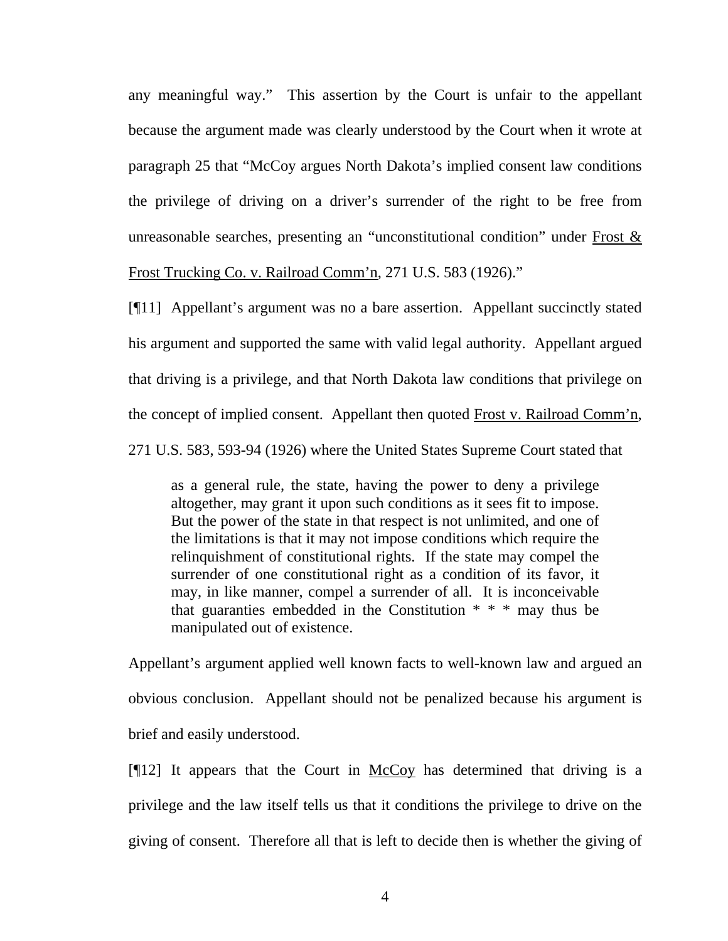any meaningful way." This assertion by the Court is unfair to the appellant because the argument made was clearly understood by the Court when it wrote at paragraph 25 that "McCoy argues North Dakota's implied consent law conditions the privilege of driving on a driver's surrender of the right to be free from unreasonable searches, presenting an "unconstitutional condition" under Frost & Frost Trucking Co. v. Railroad Comm'n, 271 U.S. 583 (1926)."

[¶11] Appellant's argument was no a bare assertion. Appellant succinctly stated his argument and supported the same with valid legal authority. Appellant argued that driving is a privilege, and that North Dakota law conditions that privilege on the concept of implied consent. Appellant then quoted Frost v. Railroad Comm'n, 271 U.S. 583, 593-94 (1926) where the United States Supreme Court stated that

as a general rule, the state, having the power to deny a privilege altogether, may grant it upon such conditions as it sees fit to impose. But the power of the state in that respect is not unlimited, and one of the limitations is that it may not impose conditions which require the relinquishment of constitutional rights. If the state may compel the surrender of one constitutional right as a condition of its favor, it may, in like manner, compel a surrender of all. It is inconceivable that guaranties embedded in the Constitution \* \* \* may thus be manipulated out of existence.

Appellant's argument applied well known facts to well-known law and argued an obvious conclusion. Appellant should not be penalized because his argument is brief and easily understood.

[¶12] It appears that the Court in McCoy has determined that driving is a privilege and the law itself tells us that it conditions the privilege to drive on the giving of consent. Therefore all that is left to decide then is whether the giving of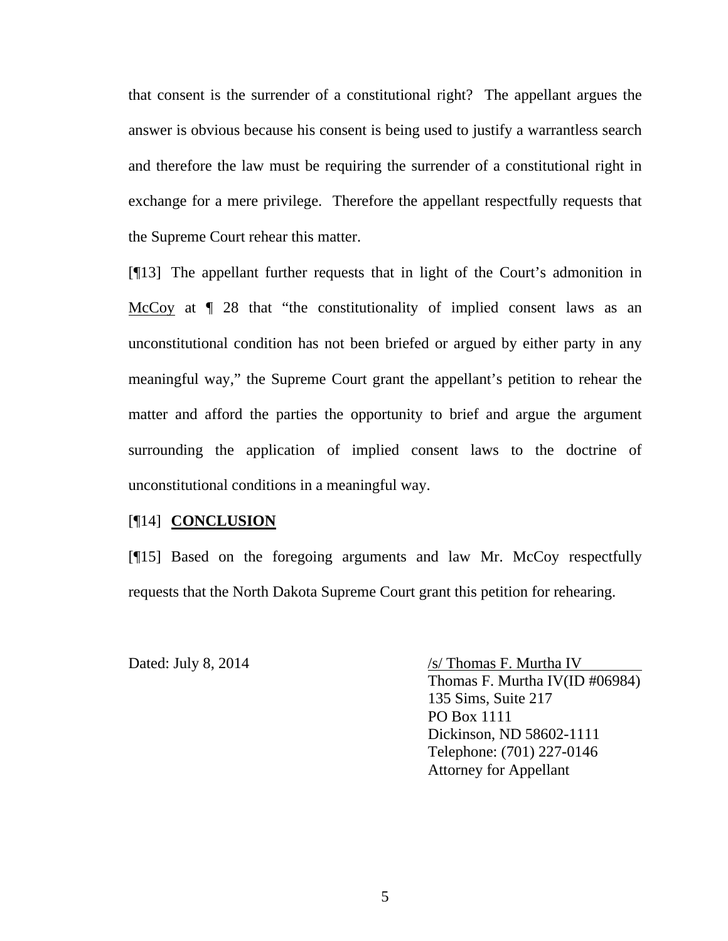that consent is the surrender of a constitutional right? The appellant argues the answer is obvious because his consent is being used to justify a warrantless search and therefore the law must be requiring the surrender of a constitutional right in exchange for a mere privilege. Therefore the appellant respectfully requests that the Supreme Court rehear this matter.

[¶13] The appellant further requests that in light of the Court's admonition in McCoy at  $\parallel$  28 that "the constitutionality of implied consent laws as an unconstitutional condition has not been briefed or argued by either party in any meaningful way," the Supreme Court grant the appellant's petition to rehear the matter and afford the parties the opportunity to brief and argue the argument surrounding the application of implied consent laws to the doctrine of unconstitutional conditions in a meaningful way.

## [¶14] **CONCLUSION**

[¶15] Based on the foregoing arguments and law Mr. McCoy respectfully requests that the North Dakota Supreme Court grant this petition for rehearing.

Dated: July 8, 2014 /s/ Thomas F. Murtha IV Thomas F. Murtha IV(ID #06984) 135 Sims, Suite 217 PO Box 1111 Dickinson, ND 58602-1111 Telephone: (701) 227-0146 Attorney for Appellant